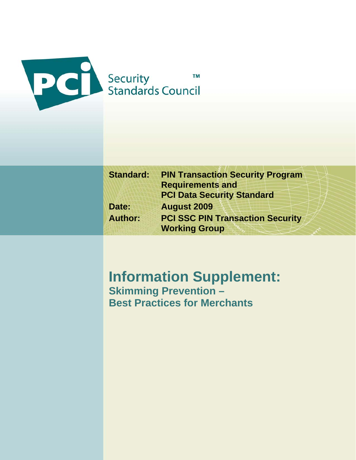

| <b>Standard:</b> | <b>PIN Transaction Security Program</b> |
|------------------|-----------------------------------------|
|                  | <b>Requirements and</b>                 |
|                  | <b>PCI Data Security Standard</b>       |
| Date:            | <b>August 2009</b>                      |
| <b>Author:</b>   | <b>PCI SSC PIN Transaction Security</b> |
|                  | <b>Working Group</b>                    |

# **Information Supplement: Skimming Prevention –**

**Best Practices for Merchants**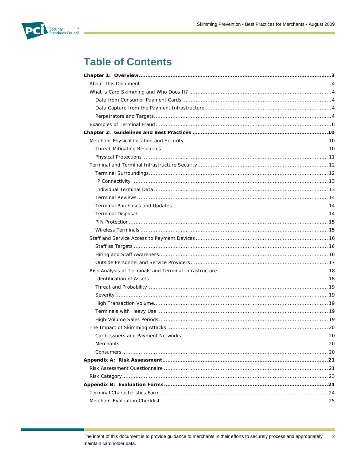

# **Table of Contents**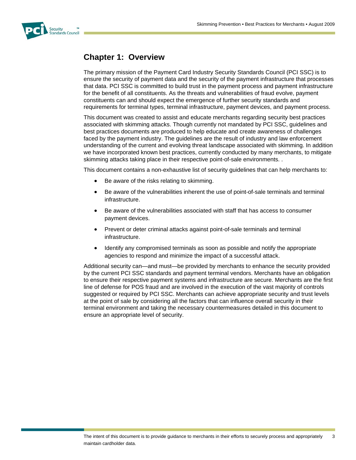<span id="page-2-0"></span>

# **Chapter 1: Overview**

The primary mission of the Payment Card Industry Security Standards Council (PCI SSC) is to ensure the security of payment data and the security of the payment infrastructure that processes that data. PCI SSC is committed to build trust in the payment process and payment infrastructure for the benefit of all constituents. As the threats and vulnerabilities of fraud evolve, payment constituents can and should expect the emergence of further security standards and requirements for terminal types, terminal infrastructure, payment devices, and payment process.

This document was created to assist and educate merchants regarding security best practices associated with skimming attacks. Though currently not mandated by PCI SSC, guidelines and best practices documents are produced to help educate and create awareness of challenges faced by the payment industry. The guidelines are the result of industry and law enforcement understanding of the current and evolving threat landscape associated with skimming. In addition we have incorporated known best practices, currently conducted by many merchants, to mitigate skimming attacks taking place in their respective point-of-sale environments. .

This document contains a non-exhaustive list of security guidelines that can help merchants to:

- Be aware of the risks relating to skimming.
- Be aware of the vulnerabilities inherent the use of point-of-sale terminals and terminal infrastructure.
- Be aware of the vulnerabilities associated with staff that has access to consumer payment devices.
- Prevent or deter criminal attacks against point-of-sale terminals and terminal infrastructure.
- Identify any compromised terminals as soon as possible and notify the appropriate agencies to respond and minimize the impact of a successful attack.

Additional security can—and must—be provided by merchants to enhance the security provided by the current PCI SSC standards and payment terminal vendors. Merchants have an obligation to ensure their respective payment systems and infrastructure are secure. Merchants are the first line of defense for POS fraud and are involved in the execution of the vast majority of controls suggested or required by PCI SSC. Merchants can achieve appropriate security and trust levels at the point of sale by considering all the factors that can influence overall security in their terminal environment and taking the necessary countermeasures detailed in this document to ensure an appropriate level of security.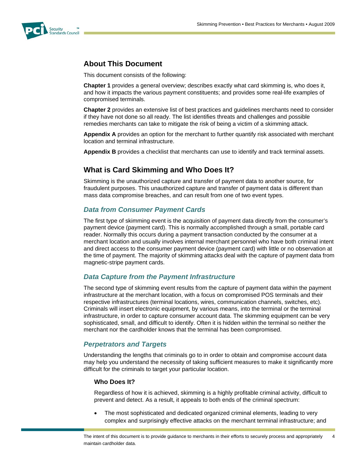<span id="page-3-0"></span>

# **About This Document**

This document consists of the following:

**Chapter 1** provides a general overview; describes exactly what card skimming is, who does it, and how it impacts the various payment constituents; and provides some real-life examples of compromised terminals.

**Chapter 2** provides an extensive list of best practices and guidelines merchants need to consider if they have not done so all ready. The list identifies threats and challenges and possible remedies merchants can take to mitigate the risk of being a victim of a skimming attack.

**Appendix A** provides an option for the merchant to further quantify risk associated with merchant location and terminal infrastructure.

**Appendix B** provides a checklist that merchants can use to identify and track terminal assets.

# <span id="page-3-1"></span>**What is Card Skimming and Who Does It?**

Skimming is the unauthorized capture and transfer of payment data to another source, for fraudulent purposes. This unauthorized capture and transfer of payment data is different than mass data compromise breaches, and can result from one of two event types.

#### <span id="page-3-2"></span>*Data from Consumer Payment Cards*

The first type of skimming event is the acquisition of payment data directly from the consumer's payment device (payment card). This is normally accomplished through a small, portable card reader. Normally this occurs during a payment transaction conducted by the consumer at a merchant location and usually involves internal merchant personnel who have both criminal intent and direct access to the consumer payment device (payment card) with little or no observation at the time of payment. The majority of skimming attacks deal with the capture of payment data from magnetic-stripe payment cards.

#### *Data Capture from the Payment Infrastructure*

<span id="page-3-3"></span>The second type of skimming event results from the capture of payment data within the payment infrastructure at the merchant location, with a focus on compromised POS terminals and their respective infrastructures (terminal locations, wires, communication channels, switches, etc). Criminals will insert electronic equipment, by various means, into the terminal or the terminal infrastructure, in order to capture consumer account data. The skimming equipment can be very sophisticated, small, and difficult to identify. Often it is hidden within the terminal so neither the merchant nor the cardholder knows that the terminal has been compromised.

#### *Perpetrators and Targets*

<span id="page-3-4"></span>Understanding the lengths that criminals go to in order to obtain and compromise account data may help you understand the necessity of taking sufficient measures to make it significantly more difficult for the criminals to target your particular location.

#### **Who Does It?**

Regardless of how it is achieved, skimming is a highly profitable criminal activity, difficult to prevent and detect. As a result, it appeals to both ends of the criminal spectrum:

 The most sophisticated and dedicated organized criminal elements, leading to very complex and surprisingly effective attacks on the merchant terminal infrastructure; and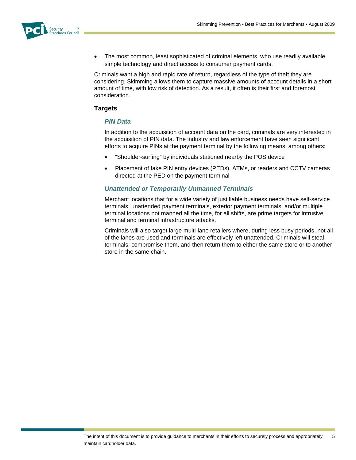

 The most common, least sophisticated of criminal elements, who use readily available, simple technology and direct access to consumer payment cards.

Criminals want a high and rapid rate of return, regardless of the type of theft they are considering. Skimming allows them to capture massive amounts of account details in a short amount of time, with low risk of detection. As a result, it often is their first and foremost consideration.

#### **Targets**

#### *PIN Data*

In addition to the acquisition of account data on the card, criminals are very interested in the acquisition of PIN data. The industry and law enforcement have seen significant efforts to acquire PINs at the payment terminal by the following means, among others:

- "Shoulder-surfing" by individuals stationed nearby the POS device
- Placement of fake PIN entry devices (PEDs), ATMs, or readers and CCTV cameras directed at the PED on the payment terminal

#### *Unattended or Temporarily Unmanned Terminals*

Merchant locations that for a wide variety of justifiable business needs have self-service terminals, unattended payment terminals, exterior payment terminals, and/or multiple terminal locations not manned all the time, for all shifts, are prime targets for intrusive terminal and terminal infrastructure attacks.

Criminals will also target large multi-lane retailers where, during less busy periods, not all of the lanes are used and terminals are effectively left unattended. Criminals will steal terminals, compromise them, and then return them to either the same store or to another store in the same chain.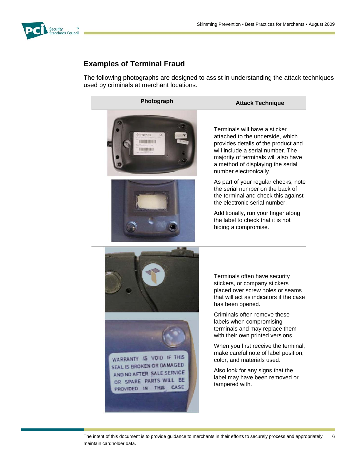<span id="page-5-0"></span>

# **Examples of Terminal Fraud**

The following photographs are designed to assist in understanding the attack techniques used by criminals at merchant locations.



Terminals will have a sticker attached to the underside, which provides details of the product and will include a serial number. The majority of terminals will also have a method of displaying the serial number electronically.

As part of your regular checks, note the serial number on the back of the terminal and check this against the electronic serial number.

Additionally, run your finger along the label to check that it is not hiding a compromise.

Terminals often have security stickers, or company stickers placed over screw holes or seams that will act as indicators if the case has been opened.

Criminals often remove these labels when compromising terminals and may replace them with their own printed versions.

When you first receive the terminal, make careful note of label position, color, and materials used.

Also look for any signs that the label may have been removed or tampered with.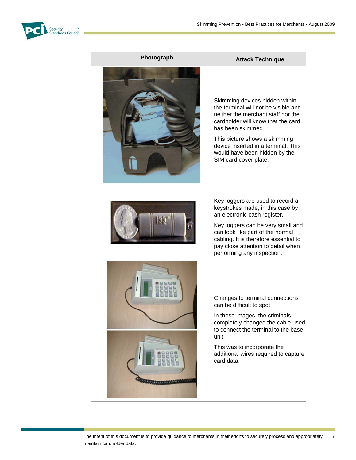

### **Photograph Attack Technique Attack Technique**



Skimming devices hidden within the terminal will not be visible and neither the merchant staff nor the cardholder will know that the card has been skimmed.

This picture shows a skimming device inserted in a terminal. This would have been hidden by the SIM card cover plate.



Key loggers are used to record all keystrokes made, in this case by an electronic cash register.

Key loggers can be very small and can look like part of the normal cabling. It is therefore essential to pay close attention to detail when performing any inspection.



Changes to terminal connections can be difficult to spot.

In these images, the criminals completely changed the cable used to connect the terminal to the base unit.

This was to incorporate the additional wires required to capture card data.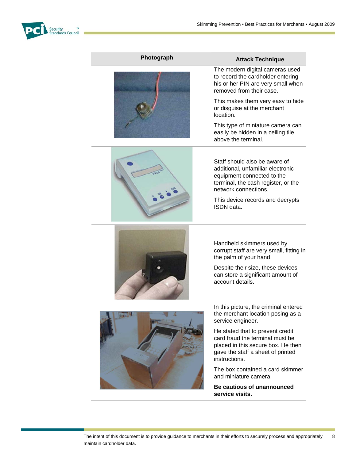

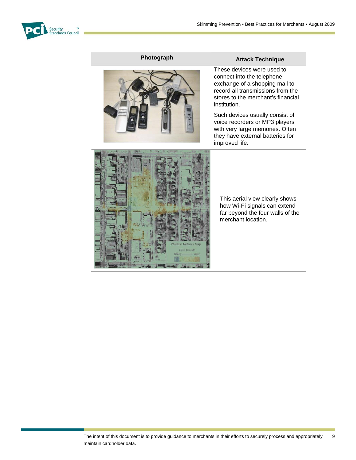





# **Photograph Attack Technique**

These devices were used to connect into the telephone exchange of a shopping mall to record all transmissions from the stores to the merchant's financial institution.

Such devices usually consist of voice recorders or MP3 players with very large memories. Often they have external batteries for improved life.



This aerial view clearly shows how Wi-Fi signals can extend far beyond the four walls of the merchant location.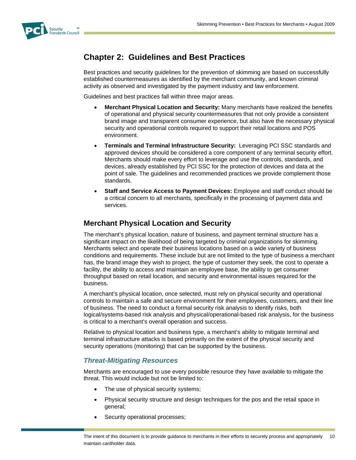<span id="page-9-0"></span>

# **Chapter 2: Guidelines and Best Practices**

Best practices and security guidelines for the prevention of skimming are based on successfully established countermeasures as identified by the merchant community, and known criminal activity as observed and investigated by the payment industry and law enforcement.

Guidelines and best practices fall within three major areas.

- **Merchant Physical Location and Security:** Many merchants have realized the benefits of operational and physical security countermeasures that not only provide a consistent brand image and transparent consumer experience, but also have the necessary physical security and operational controls required to support their retail locations and POS environment.
- **Terminals and Terminal Infrastructure Security:** Leveraging PCI SSC standards and approved devices should be considered a core component of any terminal security effort. Merchants should make every effort to leverage and use the controls, standards, and devices, already established by PCI SSC for the protection of devices and data at the point of sale. The guidelines and recommended practices we provide complement those standards.
- **Staff and Service Access to Payment Devices:** Employee and staff conduct should be a critical concern to all merchants, specifically in the processing of payment data and services.

# <span id="page-9-1"></span>**Merchant Physical Location and Security**

The merchant's physical location, nature of business, and payment terminal structure has a significant impact on the likelihood of being targeted by criminal organizations for skimming. Merchants select and operate their business locations based on a wide variety of business conditions and requirements. These include but are not limited to the type of business a merchant has, the brand image they wish to project, the type of customer they seek, the cost to operate a facility, the ability to access and maintain an employee base, the ability to get consumer throughput based on retail location, and security and environmental issues required for the business.

A merchant's physical location, once selected, must rely on physical security and operational controls to maintain a safe and secure environment for their employees, customers, and their line of business. The need to conduct a formal security risk analysis to identify risks, both logical/systems-based risk analysis and physical/operational-based risk analysis, for the business is critical to a merchant's overall operation and success.

Relative to physical location and business type, a merchant's ability to mitigate terminal and terminal infrastructure attacks is based primarily on the extent of the physical security and security operations (monitoring) that can be supported by the business.

#### *Threat-Mitigating Resources*

<span id="page-9-2"></span>Merchants are encouraged to use every possible resource they have available to mitigate the threat. This would include but not be limited to:

- The use of physical security systems;
- Physical security structure and design techniques for the pos and the retail space in general;
- Security operational processes;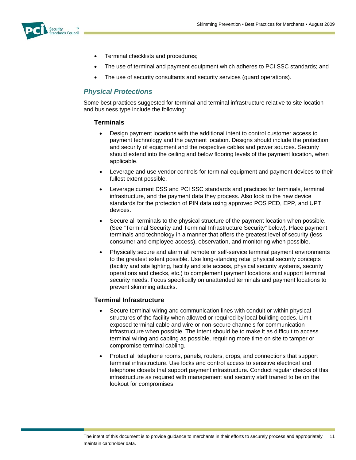<span id="page-10-0"></span>

- Terminal checklists and procedures;
- The use of terminal and payment equipment which adheres to PCI SSC standards; and
- The use of security consultants and security services (guard operations).

#### *Physical Protections*

Some best practices suggested for terminal and terminal infrastructure relative to site location and business type include the following:

#### **Terminals**

- Design payment locations with the additional intent to control customer access to payment technology and the payment location. Designs should include the protection and security of equipment and the respective cables and power sources. Security should extend into the ceiling and below flooring levels of the payment location, when applicable.
- Leverage and use vendor controls for terminal equipment and payment devices to their fullest extent possible.
- Leverage current DSS and PCI SSC standards and practices for terminals, terminal infrastructure, and the payment data they process. Also look to the new device standards for the protection of PIN data using approved POS PED, EPP, and UPT devices.
- Secure all terminals to the physical structure of the payment location when possible. (See "Terminal Security and Terminal Infrastructure Security" below). Place payment terminals and technology in a manner that offers the greatest level of security (less consumer and employee access), observation, and monitoring when possible.
- Physically secure and alarm all remote or self-service terminal payment environments to the greatest extent possible. Use long-standing retail physical security concepts (facility and site lighting, facility and site access, physical security systems, security operations and checks, etc.) to complement payment locations and support terminal security needs. Focus specifically on unattended terminals and payment locations to prevent skimming attacks.

#### **Terminal Infrastructure**

- Secure terminal wiring and communication lines with conduit or within physical structures of the facility when allowed or required by local building codes. Limit exposed terminal cable and wire or non-secure channels for communication infrastructure when possible. The intent should be to make it as difficult to access terminal wiring and cabling as possible, requiring more time on site to tamper or compromise terminal cabling.
- Protect all telephone rooms, panels, routers, drops, and connections that support terminal infrastructure. Use locks and control access to sensitive electrical and telephone closets that support payment infrastructure. Conduct regular checks of this infrastructure as required with management and security staff trained to be on the lookout for compromises.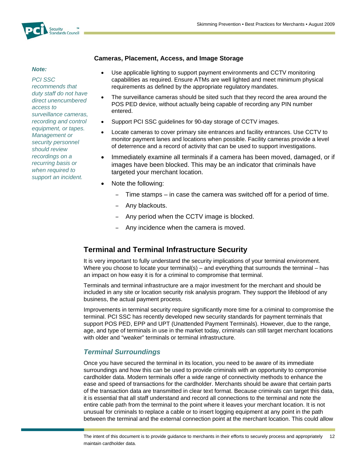

#### *Note:*

*PCI SSC recommends that duty staff do not have direct unencumbered access to surveillance cameras, recording and control equipment, or tapes. Management or security personnel should review recordings on a recurring basis or when required to support an incident.*

#### **Cameras, Placement, Access, and Image Storage**

- Use applicable lighting to support payment environments and CCTV monitoring capabilities as required. Ensure ATMs are well lighted and meet minimum physical requirements as defined by the appropriate regulatory mandates.
- The surveillance cameras should be sited such that they record the area around the POS PED device, without actually being capable of recording any PIN number entered.
- Support PCI SSC guidelines for 90-day storage of CCTV images.
- Locate cameras to cover primary site entrances and facility entrances. Use CCTV to monitor payment lanes and locations when possible. Facility cameras provide a level of deterrence and a record of activity that can be used to support investigations.
- Immediately examine all terminals if a camera has been moved, damaged, or if images have been blocked. This may be an indicator that criminals have targeted your merchant location.
- Note the following:
	- Time stamps in case the camera was switched off for a period of time.
	- Any blackouts.
	- Any period when the CCTV image is blocked.
	- Any incidence when the camera is moved.

# <span id="page-11-0"></span>**Terminal and Terminal Infrastructure Security**

It is very important to fully understand the security implications of your terminal environment. Where you choose to locate your terminal(s) – and everything that surrounds the terminal – has an impact on how easy it is for a criminal to compromise that terminal.

Terminals and terminal infrastructure are a major investment for the merchant and should be included in any site or location security risk analysis program. They support the lifeblood of any business, the actual payment process.

Improvements in terminal security require significantly more time for a criminal to compromise the terminal. PCI SSC has recently developed new security standards for payment terminals that support POS PED, EPP and UPT (Unattended Payment Terminals). However, due to the range, age, and type of terminals in use in the market today, criminals can still target merchant locations with older and "weaker" terminals or terminal infrastructure.

#### *Terminal Surroundings*

<span id="page-11-1"></span>Once you have secured the terminal in its location, you need to be aware of its immediate surroundings and how this can be used to provide criminals with an opportunity to compromise cardholder data. Modern terminals offer a wide range of connectivity methods to enhance the ease and speed of transactions for the cardholder. Merchants should be aware that certain parts of the transaction data are transmitted in clear text format. Because criminals can target this data, it is essential that all staff understand and record all connections to the terminal and note the entire cable path from the terminal to the point where it leaves your merchant location. It is not unusual for criminals to replace a cable or to insert logging equipment at any point in the path between the terminal and the external connection point at the merchant location. This could allow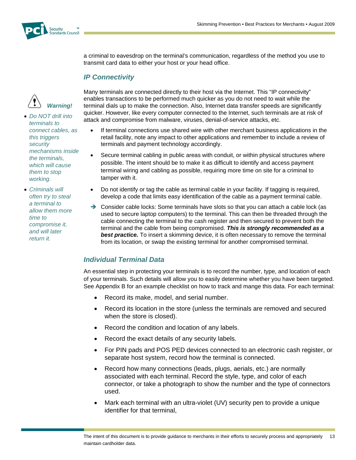

a criminal to eavesdrop on the terminal's communication, regardless of the method you use to transmit card data to either your host or your head office.

#### *IP Connectivity*

<span id="page-12-0"></span>

 *Do NOT drill into terminals to connect cables, as this triggers security mechanisms inside the terminals, which will cause them to stop working.*

<span id="page-12-1"></span> *Criminals will often try to steal a terminal to allow them more time to compromise it, and will later return it.*

Many terminals are connected directly to their host via the Internet. This "IP connectivity" enables transactions to be performed much quicker as you do not need to wait while the terminal dials up to make the connection. Also, Internet data transfer speeds are significantly quicker. However, like every computer connected to the Internet, such terminals are at risk of attack and compromise from malware, viruses, denial-of-service attacks, etc.

- If terminal connections use shared wire with other merchant business applications in the retail facility, note any impact to other applications and remember to include a review of terminals and payment technology accordingly.
- Secure terminal cabling in public areas with conduit, or within physical structures where possible. The intent should be to make it as difficult to identify and access payment terminal wiring and cabling as possible, requiring more time on site for a criminal to tamper with it.
- Do not identify or tag the cable as terminal cable in your facility. If tagging is required, develop a code that limits easy identification of the cable as a payment terminal cable.
- $\rightarrow$  Consider cable locks: Some terminals have slots so that you can attach a cable lock (as used to secure laptop computers) to the terminal. This can then be threaded through the cable connecting the terminal to the cash register and then secured to prevent both the terminal and the cable from being compromised. *This is strongly recommended as a*  **best practice.** To insert a skimming device, it is often necessary to remove the terminal from its location, or swap the existing terminal for another compromised terminal.

# *Individual Terminal Data*

An essential step in protecting your terminals is to record the number, type, and location of each of your terminals. Such details will allow you to easily determine whether you have been targeted. See Appendix B for an example checklist on how to track and mange this data. For each terminal:

- Record its make, model, and serial number.
- Record its location in the store (unless the terminals are removed and secured when the store is closed).
- Record the condition and location of any labels.
- Record the exact details of any security labels.
- For PIN pads and POS PED devices connected to an electronic cash register, or separate host system, record how the terminal is connected.
- Record how many connections (leads, plugs, aerials, etc.) are normally associated with each terminal. Record the style, type, and color of each connector, or take a photograph to show the number and the type of connectors used.
- Mark each terminal with an ultra-violet (UV) security pen to provide a unique identifier for that terminal,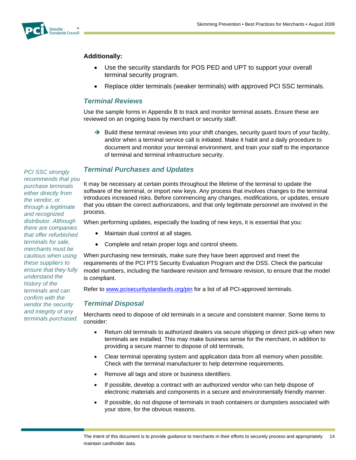

#### **Additionally:**

- Use the security standards for POS PED and UPT to support your overall terminal security program.
- Replace older terminals (weaker terminals) with approved PCI SSC terminals.

#### *Terminal Reviews*

Use the sample forms in Appendix B to track and monitor terminal assets. Ensure these are reviewed on an ongoing basis by merchant or security staff.

 $\rightarrow$  Build these terminal reviews into your shift changes, security quard tours of your facility, and/or when a terminal service call is initiated. Make it habit and a daily procedure to document and monitor your terminal environment, and train your staff to the importance of terminal and terminal infrastructure security.

#### *Terminal Purchases and Updates*

It may be necessary at certain points throughout the lifetime of the terminal to update the software of the terminal, or import new keys. Any process that involves changes to the terminal introduces increased risks. Before commencing any changes, modifications, or updates, ensure that you obtain the correct authorizations, and that only legitimate personnel are involved in the process.

When performing updates, especially the loading of new keys, it is essential that you:

- Maintain dual control at all stages.
- Complete and retain proper logs and control sheets.

When purchasing new terminals, make sure they have been approved and meet the requirements of the PCI PTS Security Evaluation Program and the DSS. Check the particular model numbers, including the hardware revision and firmware revision, to ensure that the model is compliant.

Refer to [www.pcisecuritystandards.org/pin](http://www.pcisecuritystandards.org/pin) for a list of all PCI-approved terminals.

#### <span id="page-13-2"></span>*Terminal Disposal*

Merchants need to dispose of old terminals in a secure and consistent manner. Some items to consider:

- Return old terminals to authorized dealers via secure shipping or direct pick-up when new terminals are installed. This may make business sense for the merchant, in addition to providing a secure manner to dispose of old terminals.
- Clear terminal operating system and application data from all memory when possible. Check with the terminal manufacturer to help determine requirements.
- Remove all tags and store or business identifiers.
- If possible, develop a contract with an authorized vendor who can help dispose of electronic materials and components in a secure and environmentally friendly manner.
- If possible, do not dispose of terminals in trash containers or dumpsters associated with your store, for the obvious reasons.

<span id="page-13-1"></span><span id="page-13-0"></span>*PCI SSC strongly recommends that you purchase terminals either directly from the vendor, or through a legitimate and recognized distributor. Although there are companies that offer refurbished terminals for sale, merchants must be cautious when using these suppliers to ensure that they fully understand the history of the terminals and can confirm with the vendor the security and integrity of any terminals purchased.*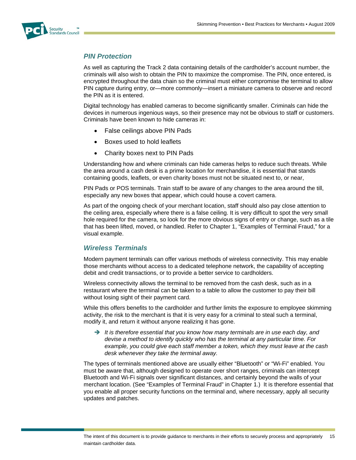<span id="page-14-0"></span>

#### *PIN Protection*

As well as capturing the Track 2 data containing details of the cardholder's account number, the criminals will also wish to obtain the PIN to maximize the compromise. The PIN, once entered, is encrypted throughout the data chain so the criminal must either compromise the terminal to allow PIN capture during entry, or—more commonly—insert a miniature camera to observe and record the PIN as it is entered.

Digital technology has enabled cameras to become significantly smaller. Criminals can hide the devices in numerous ingenious ways, so their presence may not be obvious to staff or customers. Criminals have been known to hide cameras in:

- False ceilings above PIN Pads
- Boxes used to hold leaflets
- Charity boxes next to PIN Pads

Understanding how and where criminals can hide cameras helps to reduce such threats. While the area around a cash desk is a prime location for merchandise, it is essential that stands containing goods, leaflets, or even charity boxes must not be situated next to, or near,

PIN Pads or POS terminals. Train staff to be aware of any changes to the area around the till, especially any new boxes that appear, which could house a covert camera.

As part of the ongoing check of your merchant location, staff should also pay close attention to the ceiling area, especially where there is a false ceiling. It is very difficult to spot the very small hole required for the camera, so look for the more obvious signs of entry or change, such as a tile that has been lifted, moved, or handled. Refer to Chapter 1, "Examples of Terminal Fraud," for a visual example.

#### *Wireless Terminals*

<span id="page-14-1"></span>Modern payment terminals can offer various methods of wireless connectivity. This may enable those merchants without access to a dedicated telephone network, the capability of accepting debit and credit transactions, or to provide a better service to cardholders.

Wireless connectivity allows the terminal to be removed from the cash desk, such as in a restaurant where the terminal can be taken to a table to allow the customer to pay their bill without losing sight of their payment card.

While this offers benefits to the cardholder and further limits the exposure to employee skimming activity, the risk to the merchant is that it is very easy for a criminal to steal such a terminal, modify it, and return it without anyone realizing it has gone.

→ It is therefore essential that you know how many terminals are in use each day, and *devise a method to identify quickly who has the terminal at any particular time. For example, you could give each staff member a token, which they must leave at the cash desk whenever they take the terminal away.* 

The types of terminals mentioned above are usually either "Bluetooth" or "Wi-Fi" enabled. You must be aware that, although designed to operate over short ranges, criminals can intercept Bluetooth and Wi-Fi signals over significant distances, and certainly beyond the walls of your merchant location. (See "Examples of Terminal Fraud" in Chapter 1.) It is therefore essential that you enable all proper security functions on the terminal and, where necessary, apply all security updates and patches.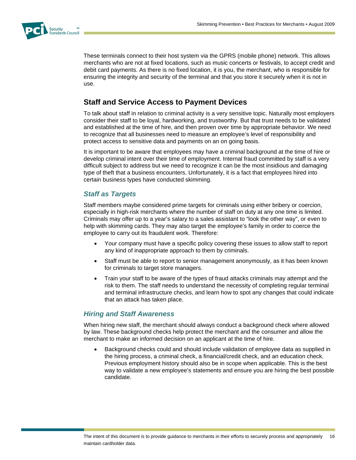

These terminals connect to their host system via the GPRS (mobile phone) network. This allows merchants who are not at fixed locations, such as music concerts or festivals, to accept credit and debit card payments. As there is no fixed location, it is you, the merchant, who is responsible for ensuring the integrity and security of the terminal and that you store it securely when it is not in use.

# <span id="page-15-0"></span>**Staff and Service Access to Payment Devices**

To talk about staff in relation to criminal activity is a very sensitive topic. Naturally most employers consider their staff to be loyal, hardworking, and trustworthy. But that trust needs to be validated and established at the time of hire, and then proven over time by appropriate behavior. We need to recognize that all businesses need to measure an employee's level of responsibility and protect access to sensitive data and payments on an on going basis.

It is important to be aware that employees may have a criminal background at the time of hire or develop criminal intent over their time of employment. Internal fraud committed by staff is a very difficult subject to address but we need to recognize it can be the most insidious and damaging type of theft that a business encounters. Unfortunately, it is a fact that employees hired into certain business types have conducted skimming.

### *Staff as Targets*

<span id="page-15-1"></span>Staff members maybe considered prime targets for criminals using either bribery or coercion, especially in high-risk merchants where the number of staff on duty at any one time is limited. Criminals may offer up to a year's salary to a sales assistant to "look the other way", or even to help with skimming cards. They may also target the employee's family in order to coerce the employee to carry out its fraudulent work. Therefore:

- Your company must have a specific policy covering these issues to allow staff to report any kind of inappropriate approach to them by criminals.
- Staff must be able to report to senior management anonymously, as it has been known for criminals to target store managers.
- Train your staff to be aware of the types of fraud attacks criminals may attempt and the risk to them. The staff needs to understand the necessity of completing regular terminal and terminal infrastructure checks, and learn how to spot any changes that could indicate that an attack has taken place.

#### *Hiring and Staff Awareness*

<span id="page-15-2"></span>When hiring new staff, the merchant should always conduct a background check where allowed by law. These background checks help protect the merchant and the consumer and allow the merchant to make an informed decision on an applicant at the time of hire.

 Background checks could and should include validation of employee data as supplied in the hiring process, a criminal check, a financial/credit check, and an education check. Previous employment history should also be in scope when applicable. This is the best way to validate a new employee's statements and ensure you are hiring the best possible candidate.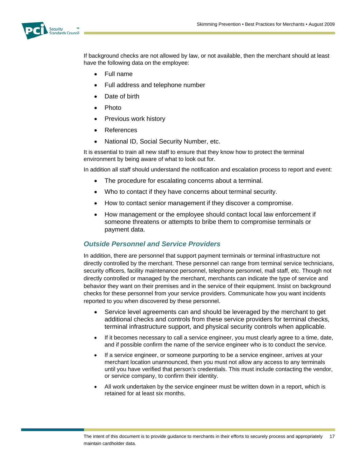

If background checks are not allowed by law, or not available, then the merchant should at least have the following data on the employee:

- Full name
- Full address and telephone number
- Date of birth
- Photo
- Previous work history
- References
- National ID, Social Security Number, etc.

It is essential to train all new staff to ensure that they know how to protect the terminal environment by being aware of what to look out for.

In addition all staff should understand the notification and escalation process to report and event:

- The procedure for escalating concerns about a terminal.
- Who to contact if they have concerns about terminal security.
- How to contact senior management if they discover a compromise.
- How management or the employee should contact local law enforcement if someone threatens or attempts to bribe them to compromise terminals or payment data.

#### *Outside Personnel and Service Providers*

<span id="page-16-0"></span>In addition, there are personnel that support payment terminals or terminal infrastructure not directly controlled by the merchant. These personnel can range from terminal service technicians, security officers, facility maintenance personnel, telephone personnel, mall staff, etc. Though not directly controlled or managed by the merchant, merchants can indicate the type of service and behavior they want on their premises and in the service of their equipment. Insist on background checks for these personnel from your service providers. Communicate how you want incidents reported to you when discovered by these personnel.

- Service level agreements can and should be leveraged by the merchant to get additional checks and controls from these service providers for terminal checks, terminal infrastructure support, and physical security controls when applicable.
- If it becomes necessary to call a service engineer, you must clearly agree to a time, date, and if possible confirm the name of the service engineer who is to conduct the service.
- If a service engineer, or someone purporting to be a service engineer, arrives at your merchant location unannounced, then you must not allow any access to any terminals until you have verified that person's credentials. This must include contacting the vendor, or service company, to confirm their identity.
- All work undertaken by the service engineer must be written down in a report, which is retained for at least six months.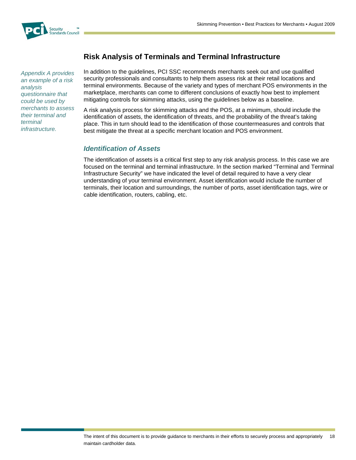

<span id="page-17-1"></span><span id="page-17-0"></span>*Appendix A provides an example of a risk analysis questionnaire that could be used by merchants to assess their terminal and terminal infrastructure.*

# **Risk Analysis of Terminals and Terminal Infrastructure**

In addition to the guidelines, PCI SSC recommends merchants seek out and use qualified security professionals and consultants to help them assess risk at their retail locations and terminal environments. Because of the variety and types of merchant POS environments in the marketplace, merchants can come to different conclusions of exactly how best to implement mitigating controls for skimming attacks, using the guidelines below as a baseline.

A risk analysis process for skimming attacks and the POS, at a minimum, should include the identification of assets, the identification of threats, and the probability of the threat's taking place. This in turn should lead to the identification of those countermeasures and controls that best mitigate the threat at a specific merchant location and POS environment.

#### *Identification of Assets*

The identification of assets is a critical first step to any risk analysis process. In this case we are focused on the terminal and terminal infrastructure. In the section marked "Terminal and Terminal Infrastructure Security" we have indicated the level of detail required to have a very clear understanding of your terminal environment. Asset identification would include the number of terminals, their location and surroundings, the number of ports, asset identification tags, wire or cable identification, routers, cabling, etc.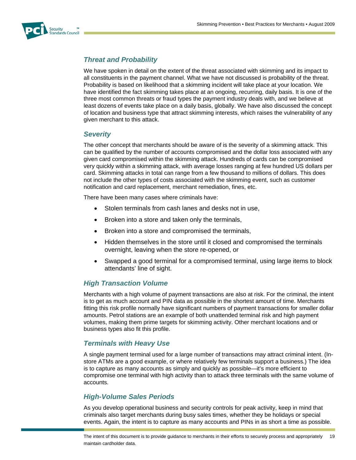<span id="page-18-0"></span>

# *Threat and Probability*

We have spoken in detail on the extent of the threat associated with skimming and its impact to all constituents in the payment channel. What we have not discussed is probability of the threat. Probability is based on likelihood that a skimming incident will take place at your location. We have identified the fact skimming takes place at an ongoing, recurring, daily basis. It is one of the three most common threats or fraud types the payment industry deals with, and we believe at least dozens of events take place on a daily basis, globally. We have also discussed the concept of location and business type that attract skimming interests, which raises the vulnerability of any given merchant to this attack.

#### <span id="page-18-1"></span>*Severity*

The other concept that merchants should be aware of is the severity of a skimming attack. This can be qualified by the number of accounts compromised and the dollar loss associated with any given card compromised within the skimming attack. Hundreds of cards can be compromised very quickly within a skimming attack, with average losses ranging at few hundred US dollars per card. Skimming attacks in total can range from a few thousand to millions of dollars. This does not include the other types of costs associated with the skimming event, such as customer notification and card replacement, merchant remediation, fines, etc.

There have been many cases where criminals have:

- Stolen terminals from cash lanes and desks not in use,
- Broken into a store and taken only the terminals,
- Broken into a store and compromised the terminals,
- Hidden themselves in the store until it closed and compromised the terminals overnight, leaving when the store re-opened, or
- Swapped a good terminal for a compromised terminal, using large items to block attendants' line of sight.

#### *High Transaction Volume*

<span id="page-18-2"></span>Merchants with a high volume of payment transactions are also at risk. For the criminal, the intent is to get as much account and PIN data as possible in the shortest amount of time. Merchants fitting this risk profile normally have significant numbers of payment transactions for smaller dollar amounts. Petrol stations are an example of both unattended terminal risk and high payment volumes, making them prime targets for skimming activity. Other merchant locations and or business types also fit this profile.

#### *Terminals with Heavy Use*

<span id="page-18-3"></span>A single payment terminal used for a large number of transactions may attract criminal intent. (Instore ATMs are a good example, or where relatively few terminals support a business.) The idea is to capture as many accounts as simply and quickly as possible—it's more efficient to compromise one terminal with high activity than to attack three terminals with the same volume of accounts.

#### *High-Volume Sales Periods*

<span id="page-18-4"></span>As you develop operational business and security controls for peak activity, keep in mind that criminals also target merchants during busy sales times, whether they be holidays or special events. Again, the intent is to capture as many accounts and PINs in as short a time as possible.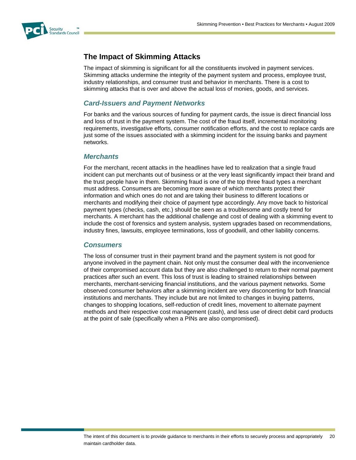<span id="page-19-0"></span>

# **The Impact of Skimming Attacks**

The impact of skimming is significant for all the constituents involved in payment services. Skimming attacks undermine the integrity of the payment system and process, employee trust, industry relationships, and consumer trust and behavior in merchants. There is a cost to skimming attacks that is over and above the actual loss of monies, goods, and services.

#### *Card-Issuers and Payment Networks*

<span id="page-19-1"></span>For banks and the various sources of funding for payment cards, the issue is direct financial loss and loss of trust in the payment system. The cost of the fraud itself, incremental monitoring requirements, investigative efforts, consumer notification efforts, and the cost to replace cards are just some of the issues associated with a skimming incident for the issuing banks and payment networks.

#### *Merchants*

<span id="page-19-2"></span>For the merchant, recent attacks in the headlines have led to realization that a single fraud incident can put merchants out of business or at the very least significantly impact their brand and the trust people have in them. Skimming fraud is one of the top three fraud types a merchant must address. Consumers are becoming more aware of which merchants protect their information and which ones do not and are taking their business to different locations or merchants and modifying their choice of payment type accordingly. Any move back to historical payment types (checks, cash, etc.) should be seen as a troublesome and costly trend for merchants. A merchant has the additional challenge and cost of dealing with a skimming event to include the cost of forensics and system analysis, system upgrades based on recommendations, industry fines, lawsuits, employee terminations, loss of goodwill, and other liability concerns.

#### *Consumers*

<span id="page-19-3"></span>The loss of consumer trust in their payment brand and the payment system is not good for anyone involved in the payment chain. Not only must the consumer deal with the inconvenience of their compromised account data but they are also challenged to return to their normal payment practices after such an event. This loss of trust is leading to strained relationships between merchants, merchant-servicing financial institutions, and the various payment networks. Some observed consumer behaviors after a skimming incident are very disconcerting for both financial institutions and merchants. They include but are not limited to changes in buying patterns, changes to shopping locations, self-reduction of credit lines, movement to alternate payment methods and their respective cost management (cash), and less use of direct debit card products at the point of sale (specifically when a PINs are also compromised).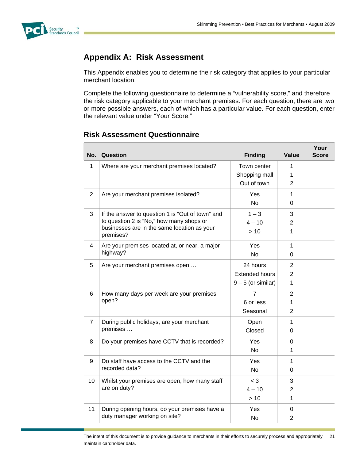<span id="page-20-0"></span>

# **Appendix A: Risk Assessment**

This Appendix enables you to determine the risk category that applies to your particular merchant location.

Complete the following questionnaire to determine a "vulnerability score," and therefore the risk category applicable to your merchant premises. For each question, there are two or more possible answers, each of which has a particular value. For each question, enter the relevant value under "Your Score."

### <span id="page-20-1"></span>**Risk Assessment Questionnaire**

| No.            | Question                                                 | <b>Finding</b>        | Value          | Your<br>Score |
|----------------|----------------------------------------------------------|-----------------------|----------------|---------------|
| 1              | Where are your merchant premises located?                | Town center           | 1              |               |
|                |                                                          | Shopping mall         | 1              |               |
|                |                                                          | Out of town           | $\overline{2}$ |               |
| 2              | Are your merchant premises isolated?                     | Yes                   | 1              |               |
|                |                                                          | <b>No</b>             | 0              |               |
| 3              | If the answer to question 1 is "Out of town" and         | $1 - 3$               | 3              |               |
|                | to question 2 is "No," how many shops or                 | $4 - 10$              | $\overline{2}$ |               |
|                | businesses are in the same location as your<br>premises? | >10                   | 1              |               |
| 4              | Are your premises located at, or near, a major           | Yes                   | 1              |               |
|                | highway?                                                 | <b>No</b>             | 0              |               |
| 5              | Are your merchant premises open                          | 24 hours              | 2              |               |
|                |                                                          | <b>Extended hours</b> | $\overline{2}$ |               |
|                |                                                          | $9 - 5$ (or similar)  | 1              |               |
| 6              | How many days per week are your premises<br>open?        | $\overline{7}$        | $\overline{2}$ |               |
|                |                                                          | 6 or less             | 1              |               |
|                |                                                          | Seasonal              | $\overline{2}$ |               |
| $\overline{7}$ | During public holidays, are your merchant<br>premises    | Open                  | $\mathbf{1}$   |               |
|                |                                                          | Closed                | 0              |               |
| 8              | Do your premises have CCTV that is recorded?             | Yes                   | 0              |               |
|                |                                                          | <b>No</b>             | 1              |               |
| 9              | Do staff have access to the CCTV and the                 | Yes                   | 1              |               |
|                | recorded data?                                           | <b>No</b>             | 0              |               |
| 10             | Whilst your premises are open, how many staff            | $<$ 3                 | 3              |               |
|                | are on duty?                                             | $4 - 10$              | 2              |               |
|                |                                                          | >10                   | 1              |               |
| 11             | During opening hours, do your premises have a            | Yes                   | 0              |               |
|                | duty manager working on site?                            | <b>No</b>             | $\overline{2}$ |               |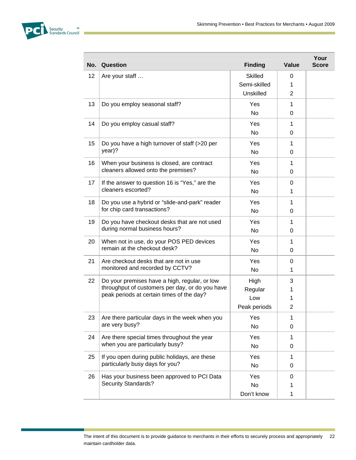

| No. | Question                                                                                                                                                  | <b>Finding</b>        | Value         | Your<br><b>Score</b> |
|-----|-----------------------------------------------------------------------------------------------------------------------------------------------------------|-----------------------|---------------|----------------------|
| 12  | Are your staff                                                                                                                                            | <b>Skilled</b>        | 0             |                      |
|     |                                                                                                                                                           | Semi-skilled          | 1             |                      |
|     |                                                                                                                                                           | Unskilled             | 2             |                      |
| 13  | Do you employ seasonal staff?                                                                                                                             | Yes                   | $\mathbf{1}$  |                      |
|     |                                                                                                                                                           | <b>No</b>             | 0             |                      |
| 14  | Do you employ casual staff?                                                                                                                               | Yes                   | $\mathbf 1$   |                      |
|     |                                                                                                                                                           | <b>No</b>             | 0             |                      |
| 15  | Do you have a high turnover of staff (>20 per<br>year)?                                                                                                   | Yes                   | 1             |                      |
|     |                                                                                                                                                           | N <sub>o</sub>        | 0             |                      |
| 16  | When your business is closed, are contract<br>cleaners allowed onto the premises?                                                                         | Yes                   | 1             |                      |
|     |                                                                                                                                                           | No                    | 0             |                      |
| 17  | If the answer to question 16 is "Yes," are the<br>cleaners escorted?                                                                                      | Yes<br><b>No</b>      | 0             |                      |
|     |                                                                                                                                                           |                       | 1             |                      |
| 18  | Do you use a hybrid or "slide-and-park" reader<br>for chip card transactions?                                                                             | Yes                   | 1             |                      |
|     | Do you have checkout desks that are not used<br>during normal business hours?<br>When not in use, do your POS PED devices<br>remain at the checkout desk? | No.                   | 0             |                      |
| 19  |                                                                                                                                                           | Yes<br>N <sub>o</sub> | 1<br>0        |                      |
|     |                                                                                                                                                           |                       |               |                      |
| 20  |                                                                                                                                                           | Yes<br>No             | 1<br>0        |                      |
|     |                                                                                                                                                           |                       |               |                      |
| 21  | Are checkout desks that are not in use<br>monitored and recorded by CCTV?                                                                                 | Yes<br>No             | $\Omega$<br>1 |                      |
|     |                                                                                                                                                           |                       |               |                      |
| 22  | Do your premises have a high, regular, or low<br>throughput of customers per day, or do you have<br>peak periods at certain times of the day?             | High<br>Regular       | 3             |                      |
|     |                                                                                                                                                           | Low                   | 1             |                      |
|     |                                                                                                                                                           | Peak periods          | 2             |                      |
| 23  | Are there particular days in the week when you                                                                                                            | Yes                   | 1             |                      |
|     | are very busy?                                                                                                                                            | No                    | 0             |                      |
| 24  | Are there special times throughout the year<br>when you are particularly busy?                                                                            | Yes                   | 1             |                      |
|     |                                                                                                                                                           | No                    | 0             |                      |
| 25  | If you open during public holidays, are these<br>particularly busy days for you?                                                                          | Yes                   | 1             |                      |
|     |                                                                                                                                                           | No                    | 0             |                      |
| 26  | Has your business been approved to PCI Data                                                                                                               | Yes                   | 0             |                      |
|     | <b>Security Standards?</b>                                                                                                                                | No                    | 1             |                      |
|     |                                                                                                                                                           | Don't know            | $\mathbf 1$   |                      |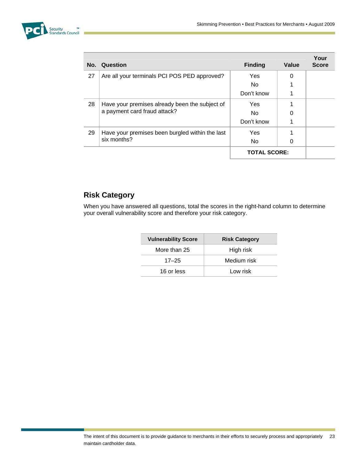

| No. | Question                                                                       | <b>Finding</b>      | Value    | Your<br><b>Score</b> |
|-----|--------------------------------------------------------------------------------|---------------------|----------|----------------------|
| 27  | Are all your terminals PCI POS PED approved?                                   | <b>Yes</b>          | $\Omega$ |                      |
|     |                                                                                | No.                 |          |                      |
|     |                                                                                | Don't know          |          |                      |
| 28  | Have your premises already been the subject of<br>a payment card fraud attack? | <b>Yes</b>          |          |                      |
|     |                                                                                | No.                 |          |                      |
|     |                                                                                | Don't know          |          |                      |
| 29  | Have your premises been burgled within the last<br>six months?                 | <b>Yes</b>          |          |                      |
|     |                                                                                | No.                 | 0        |                      |
|     |                                                                                | <b>TOTAL SCORE:</b> |          |                      |

# <span id="page-22-0"></span>**Risk Category**

When you have answered all questions, total the scores in the right-hand column to determine your overall vulnerability score and therefore your risk category.

| <b>Vulnerability Score</b> | <b>Risk Category</b> |
|----------------------------|----------------------|
| More than 25               | High risk            |
| $17 - 25$                  | Medium risk          |
| 16 or less                 | Low risk             |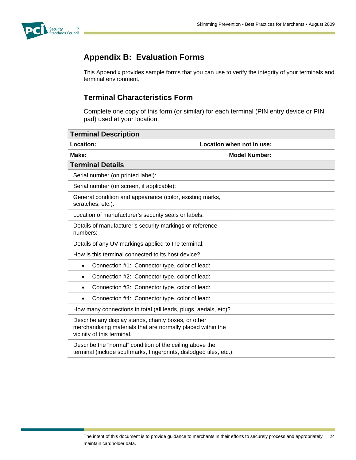<span id="page-23-0"></span>

# **Appendix B: Evaluation Forms**

This Appendix provides sample forms that you can use to verify the integrity of your terminals and terminal environment.

# **Terminal Characteristics Form**

Complete one copy of this form (or similar) for each terminal (PIN entry device or PIN pad) used at your location.

<span id="page-23-1"></span>

| <b>Terminal Description</b>                                                                                                                       |                           |
|---------------------------------------------------------------------------------------------------------------------------------------------------|---------------------------|
| Location:                                                                                                                                         | Location when not in use: |
| Make:                                                                                                                                             | <b>Model Number:</b>      |
| <b>Terminal Details</b>                                                                                                                           |                           |
| Serial number (on printed label):                                                                                                                 |                           |
| Serial number (on screen, if applicable):                                                                                                         |                           |
| General condition and appearance (color, existing marks,<br>scratches, etc.):                                                                     |                           |
| Location of manufacturer's security seals or labels:                                                                                              |                           |
| Details of manufacturer's security markings or reference<br>numbers:                                                                              |                           |
| Details of any UV markings applied to the terminal:                                                                                               |                           |
| How is this terminal connected to its host device?                                                                                                |                           |
| Connection #1: Connector type, color of lead:<br>$\bullet$                                                                                        |                           |
| Connection #2: Connector type, color of lead:<br>$\bullet$                                                                                        |                           |
| Connection #3: Connector type, color of lead:<br>$\bullet$                                                                                        |                           |
| Connection #4: Connector type, color of lead:<br>$\bullet$                                                                                        |                           |
| How many connections in total (all leads, plugs, aerials, etc)?                                                                                   |                           |
| Describe any display stands, charity boxes, or other<br>merchandising materials that are normally placed within the<br>vicinity of this terminal. |                           |
| Describe the "normal" condition of the ceiling above the<br>terminal (include scuffmarks, fingerprints, dislodged tiles, etc.).                   |                           |